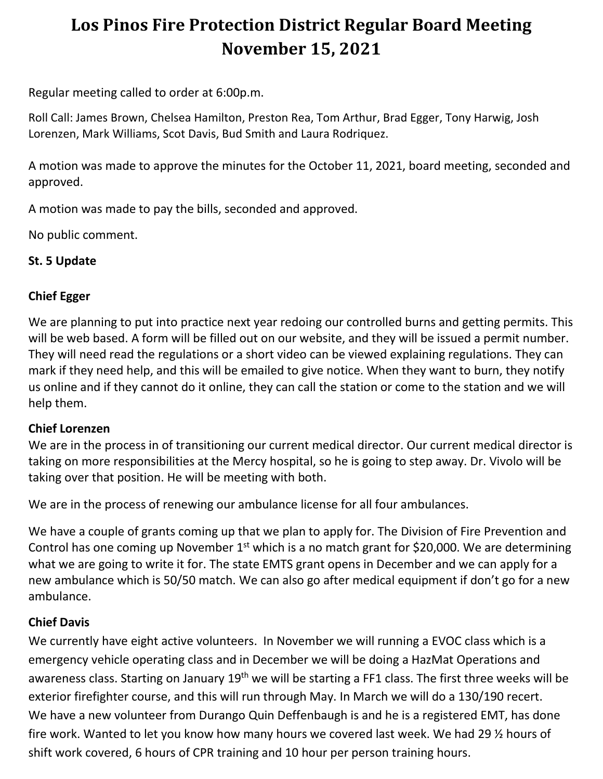# **Los Pinos Fire Protection District Regular Board Meeting November 15, 2021**

Regular meeting called to order at 6:00p.m.

Roll Call: James Brown, Chelsea Hamilton, Preston Rea, Tom Arthur, Brad Egger, Tony Harwig, Josh Lorenzen, Mark Williams, Scot Davis, Bud Smith and Laura Rodriquez.

A motion was made to approve the minutes for the October 11, 2021, board meeting, seconded and approved.

A motion was made to pay the bills, seconded and approved.

No public comment.

## **St. 5 Update**

### **Chief Egger**

We are planning to put into practice next year redoing our controlled burns and getting permits. This will be web based. A form will be filled out on our website, and they will be issued a permit number. They will need read the regulations or a short video can be viewed explaining regulations. They can mark if they need help, and this will be emailed to give notice. When they want to burn, they notify us online and if they cannot do it online, they can call the station or come to the station and we will help them.

#### **Chief Lorenzen**

We are in the process in of transitioning our current medical director. Our current medical director is taking on more responsibilities at the Mercy hospital, so he is going to step away. Dr. Vivolo will be taking over that position. He will be meeting with both.

We are in the process of renewing our ambulance license for all four ambulances.

We have a couple of grants coming up that we plan to apply for. The Division of Fire Prevention and Control has one coming up November  $1<sup>st</sup>$  which is a no match grant for \$20,000. We are determining what we are going to write it for. The state EMTS grant opens in December and we can apply for a new ambulance which is 50/50 match. We can also go after medical equipment if don't go for a new ambulance.

## **Chief Davis**

We currently have eight active volunteers. In November we will running a EVOC class which is a emergency vehicle operating class and in December we will be doing a HazMat Operations and awareness class. Starting on January 19<sup>th</sup> we will be starting a FF1 class. The first three weeks will be exterior firefighter course, and this will run through May. In March we will do a 130/190 recert. We have a new volunteer from Durango Quin Deffenbaugh is and he is a registered EMT, has done fire work. Wanted to let you know how many hours we covered last week. We had 29 ½ hours of shift work covered, 6 hours of CPR training and 10 hour per person training hours.